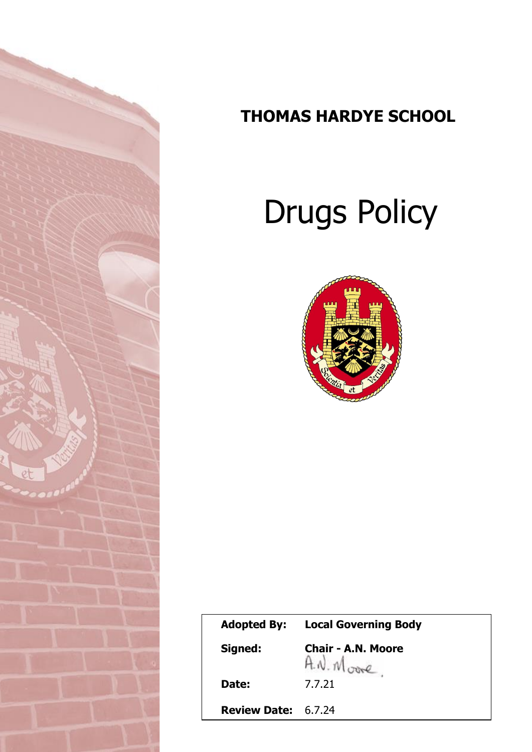

# **THOMAS HARDYE SCHOOL**

# Drugs Policy



| <b>Adopted By:</b>         | <b>Local Governing Body</b>             |
|----------------------------|-----------------------------------------|
| Signed:                    | <b>Chair - A.N. Moore</b><br>A.N. Moore |
| Date:                      | 7.7.21                                  |
| <b>Review Date: 6.7.24</b> |                                         |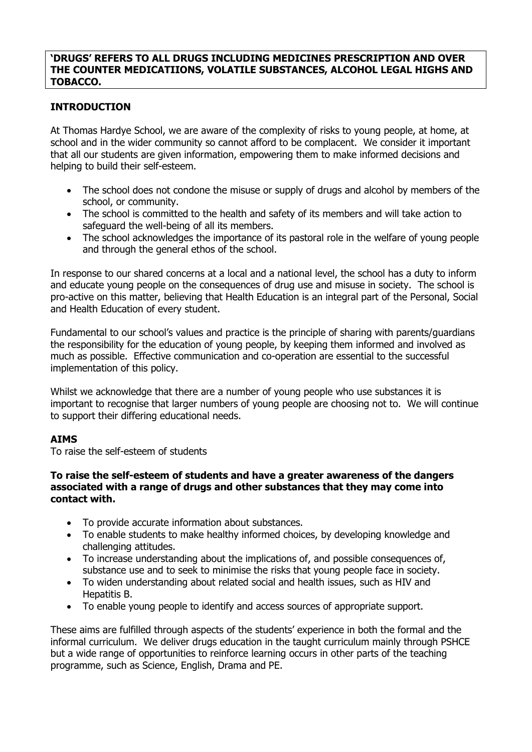### **'DRUGS' REFERS TO ALL DRUGS INCLUDING MEDICINES PRESCRIPTION AND OVER THE COUNTER MEDICATIIONS, VOLATILE SUBSTANCES, ALCOHOL LEGAL HIGHS AND TOBACCO.**

# **INTRODUCTION**

At Thomas Hardye School, we are aware of the complexity of risks to young people, at home, at school and in the wider community so cannot afford to be complacent. We consider it important that all our students are given information, empowering them to make informed decisions and helping to build their self-esteem.

- The school does not condone the misuse or supply of drugs and alcohol by members of the school, or community.
- The school is committed to the health and safety of its members and will take action to safeguard the well-being of all its members.
- The school acknowledges the importance of its pastoral role in the welfare of young people and through the general ethos of the school.

In response to our shared concerns at a local and a national level, the school has a duty to inform and educate young people on the consequences of drug use and misuse in society. The school is pro-active on this matter, believing that Health Education is an integral part of the Personal, Social and Health Education of every student.

Fundamental to our school's values and practice is the principle of sharing with parents/guardians the responsibility for the education of young people, by keeping them informed and involved as much as possible. Effective communication and co-operation are essential to the successful implementation of this policy.

Whilst we acknowledge that there are a number of young people who use substances it is important to recognise that larger numbers of young people are choosing not to. We will continue to support their differing educational needs.

# **AIMS**

To raise the self-esteem of students

#### **To raise the self-esteem of students and have a greater awareness of the dangers associated with a range of drugs and other substances that they may come into contact with.**

- To provide accurate information about substances.
- To enable students to make healthy informed choices, by developing knowledge and challenging attitudes.
- To increase understanding about the implications of, and possible consequences of, substance use and to seek to minimise the risks that young people face in society.
- To widen understanding about related social and health issues, such as HIV and Hepatitis B.
- To enable young people to identify and access sources of appropriate support.

These aims are fulfilled through aspects of the students' experience in both the formal and the informal curriculum. We deliver drugs education in the taught curriculum mainly through PSHCE but a wide range of opportunities to reinforce learning occurs in other parts of the teaching programme, such as Science, English, Drama and PE.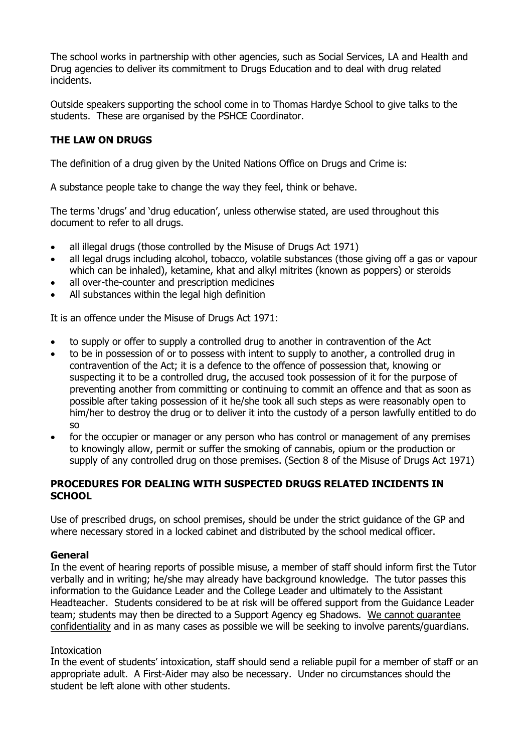The school works in partnership with other agencies, such as Social Services, LA and Health and Drug agencies to deliver its commitment to Drugs Education and to deal with drug related incidents.

Outside speakers supporting the school come in to Thomas Hardye School to give talks to the students. These are organised by the PSHCE Coordinator.

# **THE LAW ON DRUGS**

The definition of a drug given by the United Nations Office on Drugs and Crime is:

A substance people take to change the way they feel, think or behave.

The terms 'drugs' and 'drug education', unless otherwise stated, are used throughout this document to refer to all drugs.

- all illegal drugs (those controlled by the Misuse of Drugs Act 1971)
- all legal drugs including alcohol, tobacco, volatile substances (those giving off a gas or vapour which can be inhaled), ketamine, khat and alkyl mitrites (known as poppers) or steroids
- all over-the-counter and prescription medicines
- All substances within the legal high definition

It is an offence under the Misuse of Drugs Act 1971:

- to supply or offer to supply a controlled drug to another in contravention of the Act
- to be in possession of or to possess with intent to supply to another, a controlled drug in contravention of the Act; it is a defence to the offence of possession that, knowing or suspecting it to be a controlled drug, the accused took possession of it for the purpose of preventing another from committing or continuing to commit an offence and that as soon as possible after taking possession of it he/she took all such steps as were reasonably open to him/her to destroy the drug or to deliver it into the custody of a person lawfully entitled to do so
- for the occupier or manager or any person who has control or management of any premises to knowingly allow, permit or suffer the smoking of cannabis, opium or the production or supply of any controlled drug on those premises. (Section 8 of the Misuse of Drugs Act 1971)

### **PROCEDURES FOR DEALING WITH SUSPECTED DRUGS RELATED INCIDENTS IN SCHOOL**

Use of prescribed drugs, on school premises, should be under the strict guidance of the GP and where necessary stored in a locked cabinet and distributed by the school medical officer.

#### **General**

In the event of hearing reports of possible misuse, a member of staff should inform first the Tutor verbally and in writing; he/she may already have background knowledge. The tutor passes this information to the Guidance Leader and the College Leader and ultimately to the Assistant Headteacher. Students considered to be at risk will be offered support from the Guidance Leader team; students may then be directed to a Support Agency eg Shadows. We cannot guarantee confidentiality and in as many cases as possible we will be seeking to involve parents/guardians.

#### **Intoxication**

In the event of students' intoxication, staff should send a reliable pupil for a member of staff or an appropriate adult. A First-Aider may also be necessary. Under no circumstances should the student be left alone with other students.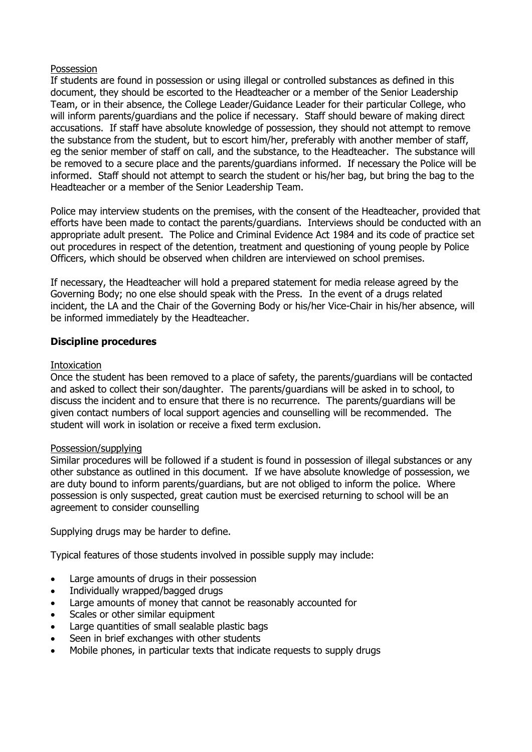#### Possession

If students are found in possession or using illegal or controlled substances as defined in this document, they should be escorted to the Headteacher or a member of the Senior Leadership Team, or in their absence, the College Leader/Guidance Leader for their particular College, who will inform parents/guardians and the police if necessary. Staff should beware of making direct accusations. If staff have absolute knowledge of possession, they should not attempt to remove the substance from the student, but to escort him/her, preferably with another member of staff, eg the senior member of staff on call, and the substance, to the Headteacher. The substance will be removed to a secure place and the parents/guardians informed. If necessary the Police will be informed. Staff should not attempt to search the student or his/her bag, but bring the bag to the Headteacher or a member of the Senior Leadership Team.

Police may interview students on the premises, with the consent of the Headteacher, provided that efforts have been made to contact the parents/guardians. Interviews should be conducted with an appropriate adult present. The Police and Criminal Evidence Act 1984 and its code of practice set out procedures in respect of the detention, treatment and questioning of young people by Police Officers, which should be observed when children are interviewed on school premises.

If necessary, the Headteacher will hold a prepared statement for media release agreed by the Governing Body; no one else should speak with the Press. In the event of a drugs related incident, the LA and the Chair of the Governing Body or his/her Vice-Chair in his/her absence, will be informed immediately by the Headteacher.

#### **Discipline procedures**

#### **Intoxication**

Once the student has been removed to a place of safety, the parents/guardians will be contacted and asked to collect their son/daughter. The parents/guardians will be asked in to school, to discuss the incident and to ensure that there is no recurrence. The parents/guardians will be given contact numbers of local support agencies and counselling will be recommended. The student will work in isolation or receive a fixed term exclusion.

#### Possession/supplying

Similar procedures will be followed if a student is found in possession of illegal substances or any other substance as outlined in this document. If we have absolute knowledge of possession, we are duty bound to inform parents/guardians, but are not obliged to inform the police. Where possession is only suspected, great caution must be exercised returning to school will be an agreement to consider counselling

Supplying drugs may be harder to define.

Typical features of those students involved in possible supply may include:

- Large amounts of drugs in their possession
- Individually wrapped/bagged drugs
- Large amounts of money that cannot be reasonably accounted for
- Scales or other similar equipment
- Large quantities of small sealable plastic bags
- Seen in brief exchanges with other students
- Mobile phones, in particular texts that indicate requests to supply drugs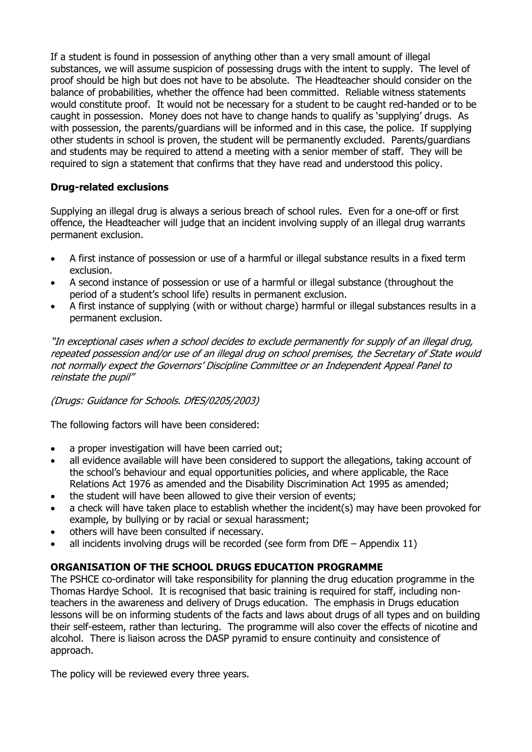If a student is found in possession of anything other than a very small amount of illegal substances, we will assume suspicion of possessing drugs with the intent to supply. The level of proof should be high but does not have to be absolute. The Headteacher should consider on the balance of probabilities, whether the offence had been committed. Reliable witness statements would constitute proof. It would not be necessary for a student to be caught red-handed or to be caught in possession. Money does not have to change hands to qualify as 'supplying' drugs. As with possession, the parents/guardians will be informed and in this case, the police. If supplying other students in school is proven, the student will be permanently excluded. Parents/guardians and students may be required to attend a meeting with a senior member of staff. They will be required to sign a statement that confirms that they have read and understood this policy.

# **Drug-related exclusions**

Supplying an illegal drug is always a serious breach of school rules. Even for a one-off or first offence, the Headteacher will judge that an incident involving supply of an illegal drug warrants permanent exclusion.

- A first instance of possession or use of a harmful or illegal substance results in a fixed term exclusion.
- A second instance of possession or use of a harmful or illegal substance (throughout the period of a student's school life) results in permanent exclusion.
- A first instance of supplying (with or without charge) harmful or illegal substances results in a permanent exclusion.

"In exceptional cases when a school decides to exclude permanently for supply of an illegal drug, repeated possession and/or use of an illegal drug on school premises, the Secretary of State would not normally expect the Governors' Discipline Committee or an Independent Appeal Panel to reinstate the pupil"

# (Drugs: Guidance for Schools. DfES/0205/2003)

The following factors will have been considered:

- a proper investigation will have been carried out;
- all evidence available will have been considered to support the allegations, taking account of the school's behaviour and equal opportunities policies, and where applicable, the Race Relations Act 1976 as amended and the Disability Discrimination Act 1995 as amended;
- the student will have been allowed to give their version of events;
- a check will have taken place to establish whether the incident(s) may have been provoked for example, by bullying or by racial or sexual harassment;
- others will have been consulted if necessary.
- all incidents involving drugs will be recorded (see form from  $\text{DF}$  Appendix 11)

# **ORGANISATION OF THE SCHOOL DRUGS EDUCATION PROGRAMME**

The PSHCE co-ordinator will take responsibility for planning the drug education programme in the Thomas Hardye School. It is recognised that basic training is required for staff, including nonteachers in the awareness and delivery of Drugs education. The emphasis in Drugs education lessons will be on informing students of the facts and laws about drugs of all types and on building their self-esteem, rather than lecturing. The programme will also cover the effects of nicotine and alcohol. There is liaison across the DASP pyramid to ensure continuity and consistence of approach.

The policy will be reviewed every three years.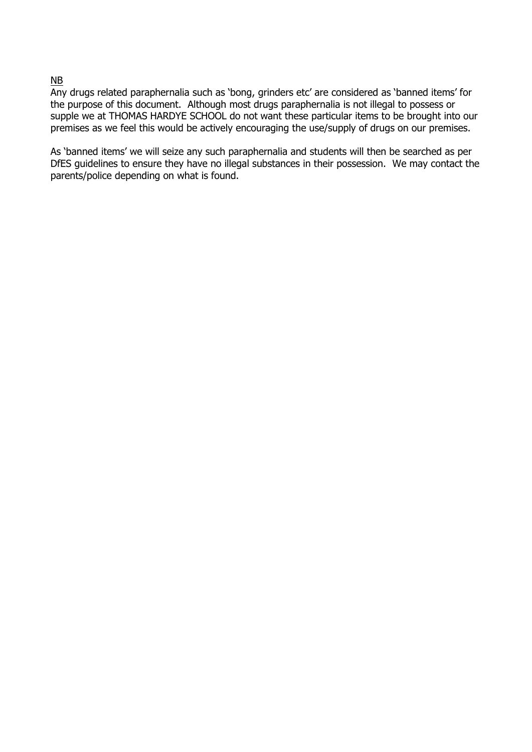#### NB

Any drugs related paraphernalia such as 'bong, grinders etc' are considered as 'banned items' for the purpose of this document. Although most drugs paraphernalia is not illegal to possess or supple we at THOMAS HARDYE SCHOOL do not want these particular items to be brought into our premises as we feel this would be actively encouraging the use/supply of drugs on our premises.

As 'banned items' we will seize any such paraphernalia and students will then be searched as per DfES guidelines to ensure they have no illegal substances in their possession. We may contact the parents/police depending on what is found.